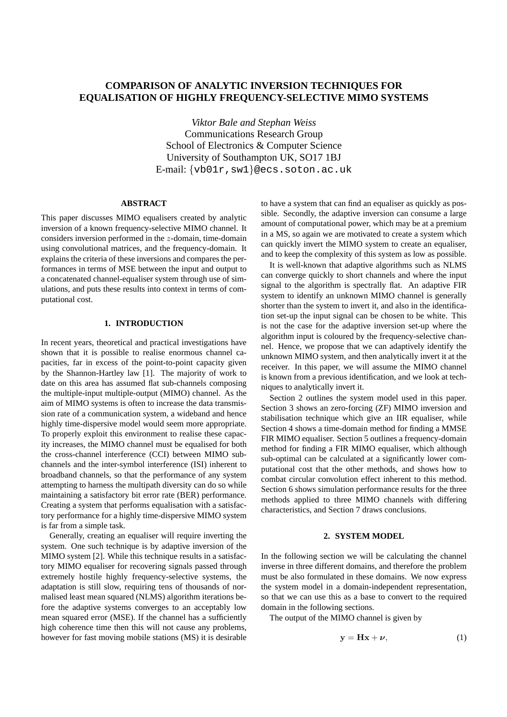# **COMPARISON OF ANALYTIC INVERSION TECHNIQUES FOR EQUALISATION OF HIGHLY FREQUENCY-SELECTIVE MIMO SYSTEMS**

*Viktor Bale and Stephan Weiss* Communications Research Group School of Electronics & Computer Science University of Southampton UK, SO17 1BJ E-mail: {vb01r,sw1}@ecs.soton.ac.uk

# **ABSTRACT**

This paper discusses MIMO equalisers created by analytic inversion of a known frequency-selective MIMO channel. It considers inversion performed in the z-domain, time-domain using convolutional matrices, and the frequency-domain. It explains the criteria of these inversions and compares the performances in terms of MSE between the input and output to a concatenated channel-equaliser system through use of simulations, and puts these results into context in terms of computational cost.

# **1. INTRODUCTION**

In recent years, theoretical and practical investigations have shown that it is possible to realise enormous channel capacities, far in excess of the point-to-point capacity given by the Shannon-Hartley law [1]. The majority of work to date on this area has assumed flat sub-channels composing the multiple-input multiple-output (MIMO) channel. As the aim of MIMO systems is often to increase the data transmission rate of a communication system, a wideband and hence highly time-dispersive model would seem more appropriate. To properly exploit this environment to realise these capacity increases, the MIMO channel must be equalised for both the cross-channel interference (CCI) between MIMO subchannels and the inter-symbol interference (ISI) inherent to broadband channels, so that the performance of any system attempting to harness the multipath diversity can do so while maintaining a satisfactory bit error rate (BER) performance. Creating a system that performs equalisation with a satisfactory performance for a highly time-dispersive MIMO system is far from a simple task.

Generally, creating an equaliser will require inverting the system. One such technique is by adaptive inversion of the MIMO system [2]. While this technique results in a satisfactory MIMO equaliser for recovering signals passed through extremely hostile highly frequency-selective systems, the adaptation is still slow, requiring tens of thousands of normalised least mean squared (NLMS) algorithm iterations before the adaptive systems converges to an acceptably low mean squared error (MSE). If the channel has a sufficiently high coherence time then this will not cause any problems, however for fast moving mobile stations (MS) it is desirable

to have a system that can find an equaliser as quickly as possible. Secondly, the adaptive inversion can consume a large amount of computational power, which may be at a premium in a MS, so again we are motivated to create a system which can quickly invert the MIMO system to create an equaliser, and to keep the complexity of this system as low as possible.

It is well-known that adaptive algorithms such as NLMS can converge quickly to short channels and where the input signal to the algorithm is spectrally flat. An adaptive FIR system to identify an unknown MIMO channel is generally shorter than the system to invert it, and also in the identification set-up the input signal can be chosen to be white. This is not the case for the adaptive inversion set-up where the algorithm input is coloured by the frequency-selective channel. Hence, we propose that we can adaptively identify the unknown MIMO system, and then analytically invert it at the receiver. In this paper, we will assume the MIMO channel is known from a previous identification, and we look at techniques to analytically invert it.

Section 2 outlines the system model used in this paper. Section 3 shows an zero-forcing (ZF) MIMO inversion and stabilisation technique which give an IIR equaliser, while Section 4 shows a time-domain method for finding a MMSE FIR MIMO equaliser. Section 5 outlines a frequency-domain method for finding a FIR MIMO equaliser, which although sub-optimal can be calculated at a significantly lower computational cost that the other methods, and shows how to combat circular convolution effect inherent to this method. Section 6 shows simulation performance results for the three methods applied to three MIMO channels with differing characteristics, and Section 7 draws conclusions.

#### **2. SYSTEM MODEL**

In the following section we will be calculating the channel inverse in three different domains, and therefore the problem must be also formulated in these domains. We now express the system model in a domain-independent representation, so that we can use this as a base to convert to the required domain in the following sections.

The output of the MIMO channel is given by

$$
y = Hx + \nu, \tag{1}
$$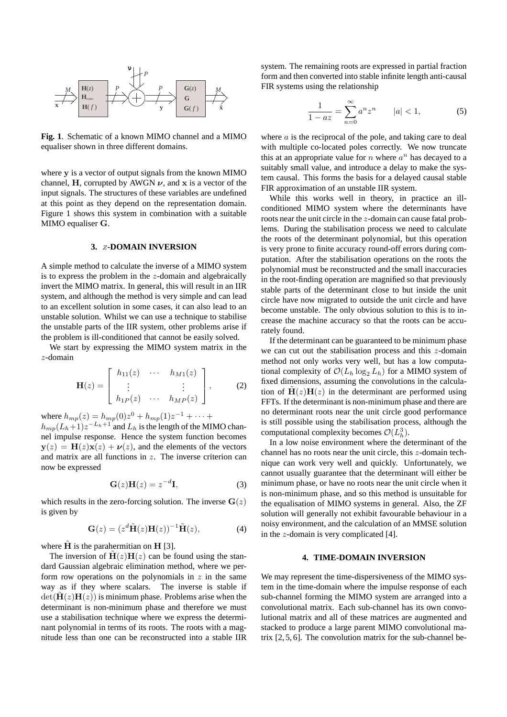

**Fig. 1**. Schematic of a known MIMO channel and a MIMO equaliser shown in three different domains.

where y is a vector of output signals from the known MIMO channel, H, corrupted by AWGN  $\nu$ , and x is a vector of the input signals. The structures of these variables are undefined at this point as they depend on the representation domain. Figure 1 shows this system in combination with a suitable MIMO equaliser G.

# **3.** Z**-DOMAIN INVERSION**

A simple method to calculate the inverse of a MIMO system is to express the problem in the  $z$ -domain and algebraically invert the MIMO matrix. In general, this will result in an IIR system, and although the method is very simple and can lead to an excellent solution in some cases, it can also lead to an unstable solution. Whilst we can use a technique to stabilise the unstable parts of the IIR system, other problems arise if the problem is ill-conditioned that cannot be easily solved.

We start by expressing the MIMO system matrix in the z-domain

$$
\mathbf{H}(z) = \begin{bmatrix} h_{11}(z) & \cdots & h_{M1}(z) \\ \vdots & & \vdots \\ h_{1P}(z) & \cdots & h_{MP}(z) \end{bmatrix}, \quad (2)
$$

where  $h_{mp}(z) = h_{mp}(0)z^0 + h_{mp}(1)z^{-1} + \cdots$ 

 $h_{mp}(L_h+1)z^{-L_h+1}$  and  $L_h$  is the length of the MIMO channel impulse response. Hence the system function becomes  $y(z) = H(z)x(z) + \nu(z)$ , and the elements of the vectors and matrix are all functions in z. The inverse criterion can now be expressed

$$
\mathbf{G}(z)\mathbf{H}(z) = z^{-d}\mathbf{I},\tag{3}
$$

which results in the zero-forcing solution. The inverse  $G(z)$ is given by

$$
\mathbf{G}(z) = (z^d \tilde{\mathbf{H}}(z) \mathbf{H}(z))^{-1} \tilde{\mathbf{H}}(z), \tag{4}
$$

where  $\tilde{H}$  is the parahermitian on  $H$  [3].

The inversion of  $H(z)H(z)$  can be found using the standard Gaussian algebraic elimination method, where we perform row operations on the polynomials in  $z$  in the same way as if they where scalars. The inverse is stable if  $det(\mathbf{H}(z)\mathbf{H}(z))$  is minimum phase. Problems arise when the determinant is non-minimum phase and therefore we must use a stabilisation technique where we express the determinant polynomial in terms of its roots. The roots with a magnitude less than one can be reconstructed into a stable IIR system. The remaining roots are expressed in partial fraction form and then converted into stable infinite length anti-causal FIR systems using the relationship

$$
\frac{1}{1 - az} = \sum_{n=0}^{\infty} a^n z^n \qquad |a| < 1,\tag{5}
$$

where  $a$  is the reciprocal of the pole, and taking care to deal with multiple co-located poles correctly. We now truncate this at an appropriate value for  $n$  where  $a^n$  has decayed to a suitably small value, and introduce a delay to make the system causal. This forms the basis for a delayed causal stable FIR approximation of an unstable IIR system.

While this works well in theory, in practice an illconditioned MIMO system where the determinants have roots near the unit circle in the z-domain can cause fatal problems. During the stabilisation process we need to calculate the roots of the determinant polynomial, but this operation is very prone to finite accuracy round-off errors during computation. After the stabilisation operations on the roots the polynomial must be reconstructed and the small inaccuracies in the root-finding operation are magnified so that previously stable parts of the determinant close to but inside the unit circle have now migrated to outside the unit circle and have become unstable. The only obvious solution to this is to increase the machine accuracy so that the roots can be accurately found.

If the determinant can be guaranteed to be minimum phase we can cut out the stabilisation process and this z-domain method not only works very well, but has a low computational complexity of  $\mathcal{O}(L_h \log_2 L_h)$  for a MIMO system of fixed dimensions, assuming the convolutions in the calculation of  $\mathbf{H}(z) \mathbf{H}(z)$  in the determinant are performed using FFTs. If the determinant is non-minimum phase and there are no determinant roots near the unit circle good performance is still possible using the stabilisation process, although the computational complexity becomes  $\mathcal{O}(L_h^3)$ .

In a low noise environment where the determinant of the channel has no roots near the unit circle, this z-domain technique can work very well and quickly. Unfortunately, we cannot usually guarantee that the determinant will either be minimum phase, or have no roots near the unit circle when it is non-minimum phase, and so this method is unsuitable for the equalisation of MIMO systems in general. Also, the ZF solution will generally not exhibit favourable behaviour in a noisy environment, and the calculation of an MMSE solution in the z-domain is very complicated [4].

# **4. TIME-DOMAIN INVERSION**

We may represent the time-dispersiveness of the MIMO system in the time-domain where the impulse response of each sub-channel forming the MIMO system are arranged into a convolutional matrix. Each sub-channel has its own convolutional matrix and all of these matrices are augmented and stacked to produce a large parent MIMO convolutional matrix  $[2, 5, 6]$ . The convolution matrix for the sub-channel be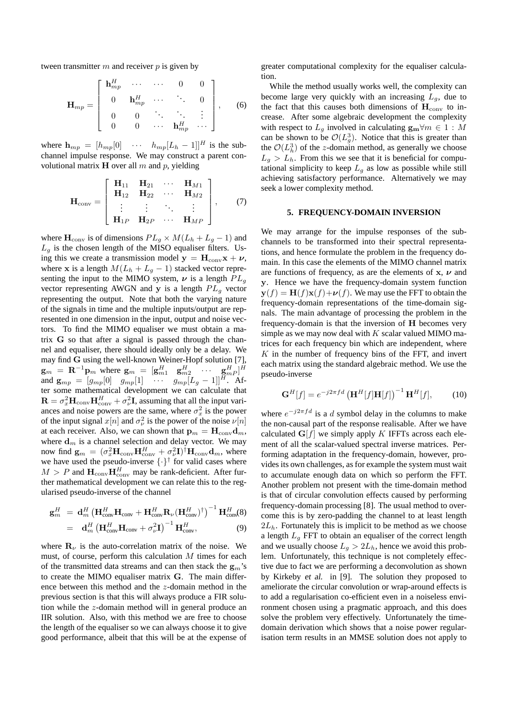tween transmitter  $m$  and receiver  $p$  is given by

$$
\mathbf{H}_{mp} = \begin{bmatrix} \mathbf{h}_{mp}^H & \cdots & \cdots & 0 & 0 \\ 0 & \mathbf{h}_{mp}^H & \cdots & \ddots & 0 \\ 0 & 0 & \ddots & \ddots & \vdots \\ 0 & 0 & \cdots & \mathbf{h}_{mp}^H & \cdots \end{bmatrix}, \quad (6)
$$

where  $\mathbf{h}_{mp} = [h_{mp}[0] \cdots h_{mp}[L_h - 1]]^H$  is the subchannel impulse response. We may construct a parent convolutional matrix  $H$  over all m and p, yielding

$$
\mathbf{H}_{\text{conv}} = \left[ \begin{array}{cccc} \mathbf{H}_{11} & \mathbf{H}_{21} & \cdots & \mathbf{H}_{M1} \\ \mathbf{H}_{12} & \mathbf{H}_{22} & \cdots & \mathbf{H}_{M2} \\ \vdots & \vdots & \ddots & \vdots \\ \mathbf{H}_{1P} & \mathbf{H}_{2P} & \cdots & \mathbf{H}_{MP} \end{array} \right], \qquad (7)
$$

where  $H_{conv}$  is of dimensions  $PL_q \times M(L_h + L_q - 1)$  and  $L_q$  is the chosen length of the MISO equaliser filters. Using this we create a transmission model  $y = H_{conv}x + \nu$ , where x is a length  $M(L_h + L_g - 1)$  stacked vector representing the input to the MIMO system,  $\nu$  is a length  $PL_q$ vector representing AWGN and y is a length  $PL<sub>g</sub>$  vector representing the output. Note that both the varying nature of the signals in time and the multiple inputs/output are represented in one dimension in the input, output and noise vectors. To find the MIMO equaliser we must obtain a matrix G so that after a signal is passed through the channel and equaliser, there should ideally only be a delay. We may find G using the well-known Weiner-Hopf solution [7],  $\mathbf{g}_m = \mathbf{R}^{-1} \mathbf{p}_m$  where  $\mathbf{g}_m = [\mathbf{g}_{m1}^H \quad \mathbf{g}_{m2}^H \quad \cdots \quad \mathbf{g}_{mP}^H]^H$ and  $\mathbf{g}_{mp} = [g_{mp}[0] \quad g_{mp}[1] \quad \cdots \quad g_{mp}[L_g-1]]^H$ . After some mathematical development we can calculate that  $\mathbf{R} = \sigma_x^2 \mathbf{H}_{\text{conv}} \mathbf{H}_{\text{conv}}^H + \sigma_v^2 \mathbf{I}$ , assuming that all the input variances and noise powers are the same, where  $\sigma_x^2$  is the power of the input signal  $x[n]$  and  $\sigma_{\nu}^2$  is the power of the noise  $\nu[n]$ at each receiver. Also, we can shown that  $\mathbf{p}_m = \mathbf{H}_{conv} \mathbf{d}_m$ , where  $\mathbf{d}_m$  is a channel selection and delay vector. We may now find  $\mathbf{g}_m = (\sigma_x^2 \mathbf{H}_{\text{conv}} \mathbf{H}_{\text{conv}}^H + \sigma_\nu^2 \mathbf{I})^\dagger \mathbf{H}_{\text{conv}} \mathbf{d}_m$ , where we have used the pseudo-inverse  $\{\cdot\}^{\dagger}$  for valid cases where  $M > P$  and  $\mathbf{H}_{conv} \mathbf{H}_{conv}^H$  may be rank-deficient. After further mathematical development we can relate this to the regularised pseudo-inverse of the channel

$$
\mathbf{g}_m^H \ = \ \mathbf{d}_m^H \left( \mathbf{H}_{\text{conv}}^H \mathbf{H}_{\text{conv}} + \mathbf{H}_{\text{conv}}^H \mathbf{R}_{\nu} (\mathbf{H}_{\text{conv}}^H)^{\dagger} \right)^{-1} \mathbf{H}_{\text{conv}}^H(\mathbf{8})
$$

$$
= \mathbf{d}_{m}^{H} \left( \mathbf{H}_{\text{conv}}^{H} \mathbf{H}_{\text{conv}} + \sigma_{\nu}^{2} \mathbf{I} \right)^{-1} \mathbf{H}_{\text{conv}}^{H}, \tag{9}
$$

where  $\mathbf{R}_{\nu}$  is the auto-correlation matrix of the noise. We must, of course, perform this calculation M times for each of the transmitted data streams and can then stack the  $g_m$ 's to create the MIMO equaliser matrix G. The main difference between this method and the z-domain method in the previous section is that this will always produce a FIR solution while the z-domain method will in general produce an IIR solution. Also, with this method we are free to choose the length of the equaliser so we can always choose it to give good performance, albeit that this will be at the expense of greater computational complexity for the equaliser calculation.

While the method usually works well, the complexity can become large very quickly with an increasing  $L_q$ , due to the fact that this causes both dimensions of  $\mathbf{H}_{\text{conv}}$  to increase. After some algebraic development the complexity with respect to  $L_q$  involved in calculating  $\mathbf{g}_{\mathbf{m}} \forall m \in 1 : M$ can be shown to be  $\mathcal{O}(L_g^3)$ . Notice that this is greater than the  $\mathcal{O}(L_h^3)$  of the z-domain method, as generally we choose  $L_q > L_h$ . From this we see that it is beneficial for computational simplicity to keep  $L_g$  as low as possible while still achieving satisfactory performance. Alternatively we may seek a lower complexity method.

#### **5. FREQUENCY-DOMAIN INVERSION**

We may arrange for the impulse responses of the subchannels to be transformed into their spectral representations, and hence formulate the problem in the frequency domain. In this case the elements of the MIMO channel matrix are functions of frequency, as are the elements of  $x$ ,  $\nu$  and y. Hence we have the frequency-domain system function  $y(f) = H(f)x(f) + \nu(f)$ . We may use the FFT to obtain the frequency-domain representations of the time-domain signals. The main advantage of processing the problem in the frequency-domain is that the inversion of H becomes very simple as we may now deal with  $K$  scalar valued MIMO matrices for each frequency bin which are independent, where  $K$  in the number of frequency bins of the FFT, and invert each matrix using the standard algebraic method. We use the pseudo-inverse

$$
\mathbf{G}^{H}[f] = e^{-j2\pi fd} \left( \mathbf{H}^{H}[f] \mathbf{H}[f] \right)^{-1} \mathbf{H}^{H}[f],\tag{10}
$$

where  $e^{-j2\pi fd}$  is a d symbol delay in the columns to make the non-causal part of the response realisable. After we have calculated  $G[f]$  we simply apply K IFFTs across each element of all the scalar-valued spectral inverse matrices. Performing adaptation in the frequency-domain, however, provides its own challenges, as for example the system must wait to accumulate enough data on which so perform the FFT. Another problem not present with the time-domain method is that of circular convolution effects caused by performing frequency-domain processing [8]. The usual method to overcome this is by zero-padding the channel to at least length  $2L<sub>h</sub>$ . Fortunately this is implicit to be method as we choose a length  $L_q$  FFT to obtain an equaliser of the correct length and we usually choose  $L_q > 2L_h$ , hence we avoid this problem. Unfortunately, this technique is not completely effective due to fact we are performing a deconvolution as shown by Kirkeby et al. in [9]. The solution they proposed to ameliorate the circular convolution or wrap-around effects is to add a regularisation co-efficient even in a noiseless environment chosen using a pragmatic approach, and this does solve the problem very effectively. Unfortunately the timedomain derivation which shows that a noise power regularisation term results in an MMSE solution does not apply to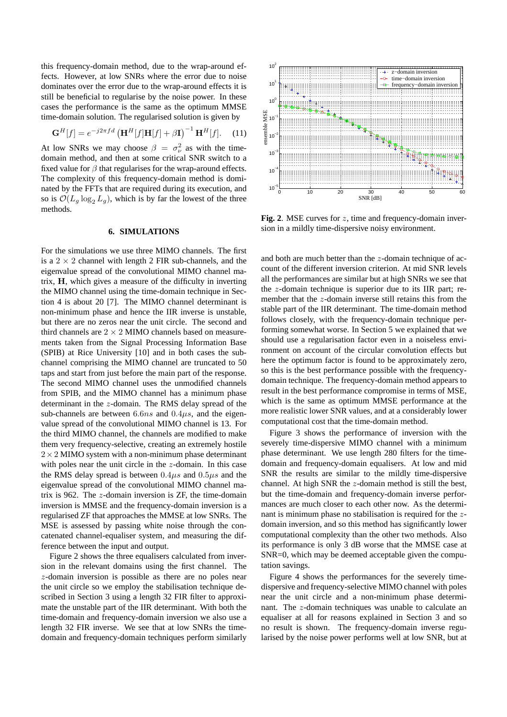this frequency-domain method, due to the wrap-around effects. However, at low SNRs where the error due to noise dominates over the error due to the wrap-around effects it is still be beneficial to regularise by the noise power. In these cases the performance is the same as the optimum MMSE time-domain solution. The regularised solution is given by

$$
\mathbf{G}^{H}[f] = e^{-j2\pi fd} \left( \mathbf{H}^{H}[f] \mathbf{H}[f] + \beta \mathbf{I} \right)^{-1} \mathbf{H}^{H}[f]. \quad (11)
$$

At low SNRs we may choose  $\beta = \sigma_{\nu}^2$  as with the timedomain method, and then at some critical SNR switch to a fixed value for  $\beta$  that regularises for the wrap-around effects. The complexity of this frequency-domain method is dominated by the FFTs that are required during its execution, and so is  $\mathcal{O}(L_q \log_2 L_q)$ , which is by far the lowest of the three methods.

### **6. SIMULATIONS**

For the simulations we use three MIMO channels. The first is a  $2 \times 2$  channel with length 2 FIR sub-channels, and the eigenvalue spread of the convolutional MIMO channel matrix, H, which gives a measure of the difficulty in inverting the MIMO channel using the time-domain technique in Section 4 is about 20 [7]. The MIMO channel determinant is non-minimum phase and hence the IIR inverse is unstable, but there are no zeros near the unit circle. The second and third channels are  $2 \times 2$  MIMO channels based on measurements taken from the Signal Processing Information Base (SPIB) at Rice University [10] and in both cases the subchannel comprising the MIMO channel are truncated to 50 taps and start from just before the main part of the response. The second MIMO channel uses the unmodified channels from SPIB, and the MIMO channel has a minimum phase determinant in the z-domain. The RMS delay spread of the sub-channels are between  $6.6ns$  and  $0.4\mu s$ , and the eigenvalue spread of the convolutional MIMO channel is 13. For the third MIMO channel, the channels are modified to make them very frequency-selective, creating an extremely hostile  $2 \times 2$  MIMO system with a non-minimum phase determinant with poles near the unit circle in the z-domain. In this case the RMS delay spread is between  $0.4\mu s$  and  $0.5\mu s$  and the eigenvalue spread of the convolutional MIMO channel matrix is 962. The z-domain inversion is ZF, the time-domain inversion is MMSE and the frequency-domain inversion is a regularised ZF that approaches the MMSE at low SNRs. The MSE is assessed by passing white noise through the concatenated channel-equaliser system, and measuring the difference between the input and output.

Figure 2 shows the three equalisers calculated from inversion in the relevant domains using the first channel. The z-domain inversion is possible as there are no poles near the unit circle so we employ the stabilisation technique described in Section 3 using a length 32 FIR filter to approximate the unstable part of the IIR determinant. With both the time-domain and frequency-domain inversion we also use a length 32 FIR inverse. We see that at low SNRs the timedomain and frequency-domain techniques perform similarly



Fig. 2. MSE curves for z, time and frequency-domain inversion in a mildly time-dispersive noisy environment.

and both are much better than the z-domain technique of account of the different inversion criterion. At mid SNR levels all the performances are similar but at high SNRs we see that the z-domain technique is superior due to its IIR part; remember that the z-domain inverse still retains this from the stable part of the IIR determinant. The time-domain method follows closely, with the frequency-domain technique performing somewhat worse. In Section 5 we explained that we should use a regularisation factor even in a noiseless environment on account of the circular convolution effects but here the optimum factor is found to be approximately zero, so this is the best performance possible with the frequencydomain technique. The frequency-domain method appears to result in the best performance compromise in terms of MSE, which is the same as optimum MMSE performance at the more realistic lower SNR values, and at a considerably lower computational cost that the time-domain method.

Figure 3 shows the performance of inversion with the severely time-dispersive MIMO channel with a minimum phase determinant. We use length 280 filters for the timedomain and frequency-domain equalisers. At low and mid SNR the results are similar to the mildly time-dispersive channel. At high SNR the z-domain method is still the best, but the time-domain and frequency-domain inverse performances are much closer to each other now. As the determinant is minimum phase no stabilisation is required for the zdomain inversion, and so this method has significantly lower computational complexity than the other two methods. Also its performance is only 3 dB worse that the MMSE case at SNR=0, which may be deemed acceptable given the computation savings.

Figure 4 shows the performances for the severely timedispersive and frequency-selective MIMO channel with poles near the unit circle and a non-minimum phase determinant. The z-domain techniques was unable to calculate an equaliser at all for reasons explained in Section 3 and so no result is shown. The frequency-domain inverse regularised by the noise power performs well at low SNR, but at